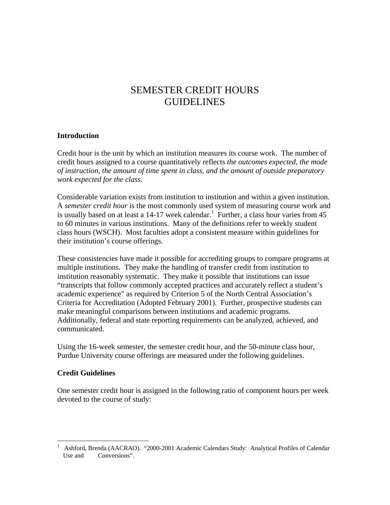# SEMESTER CREDIT HOURS GUIDELINES

#### **Introduction**

Credit hour is the unit by which an institution measures its course work. The number of credit hours assigned to a course quantitatively reflects *the outcomes expected, the mode of instruction, the amount of time spent in class, and the amount of outside preparatory work expected for the class.* 

Considerable variation exists from institution to institution and within a given institution. A *semester credit hour* is the most commonly used system of measuring course work and is usually based on at least a  $14-17$  week calendar.<sup>1</sup> Further, a class hour varies from 45 to 60 minutes in various institutions. Many of the definitions refer to weekly student class hours (WSCH). Most faculties adopt a consistent measure within guidelines for their institution's course offerings.

These consistencies have made it possible for accrediting groups to compare programs at multiple institutions. They make the handling of transfer credit from institution to institution reasonably systematic. They make it possible that institutions can issue "transcripts that follow commonly accepted practices and accurately reflect a student's academic experience" as required by Criterion 5 of the North Central Association's Criteria for Accreditation (Adopted February 2001). Further, prospective students can make meaningful comparisons between institutions and academic programs. Additionally, federal and state reporting requirements can be analyzed, achieved, and communicated.

Using the 16-week semester, the semester credit hour, and the 50-minute class hour, Purdue University course offerings are measured under the following guidelines.

#### **Credit Guidelines**

 $\overline{a}$ 

One semester credit hour is assigned in the following ratio of component hours per week devoted to the course of study:

<sup>1</sup> Ashford, Brenda (AACRAO). "2000-2001 Academic Calendars Study: Analytical Profiles of Calendar Use and Conversions".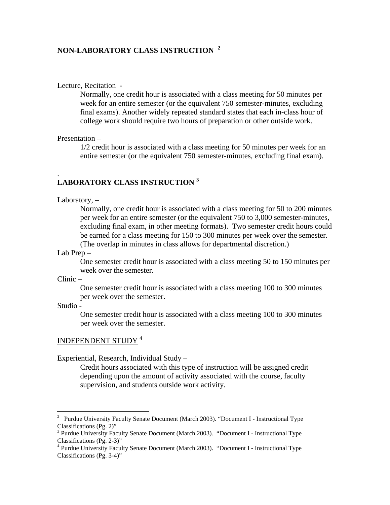## **NON-LABORATORY CLASS INSTRUCTION <sup>2</sup>**

#### Lecture, Recitation -

Normally, one credit hour is associated with a class meeting for 50 minutes per week for an entire semester (or the equivalent 750 semester-minutes, excluding final exams). Another widely repeated standard states that each in-class hour of college work should require two hours of preparation or other outside work.

#### Presentation –

1/2 credit hour is associated with a class meeting for 50 minutes per week for an entire semester (or the equivalent 750 semester-minutes, excluding final exam).

## **LABORATORY CLASS INSTRUCTION <sup>3</sup>**

Laboratory, –

.

Normally, one credit hour is associated with a class meeting for 50 to 200 minutes per week for an entire semester (or the equivalent 750 to 3,000 semester-minutes, excluding final exam, in other meeting formats). Two semester credit hours could be earned for a class meeting for 150 to 300 minutes per week over the semester. (The overlap in minutes in class allows for departmental discretion.)

Lab Prep –

One semester credit hour is associated with a class meeting 50 to 150 minutes per week over the semester.

Clinic –

One semester credit hour is associated with a class meeting 100 to 300 minutes per week over the semester.

Studio -

 $\overline{a}$ 

One semester credit hour is associated with a class meeting 100 to 300 minutes per week over the semester.

#### INDEPENDENT STUDY <sup>4</sup>

Experiential, Research, Individual Study –

Credit hours associated with this type of instruction will be assigned credit depending upon the amount of activity associated with the course, faculty supervision, and students outside work activity.

<sup>&</sup>lt;sup>2</sup> Purdue University Faculty Senate Document (March 2003). "Document I - Instructional Type Classifications (Pg. 2)"

<sup>&</sup>lt;sup>3</sup> Purdue University Faculty Senate Document (March 2003). "Document I - Instructional Type Classifications (Pg. 2-3)"

<sup>&</sup>lt;sup>4</sup> Purdue University Faculty Senate Document (March 2003). "Document I - Instructional Type Classifications (Pg. 3-4)"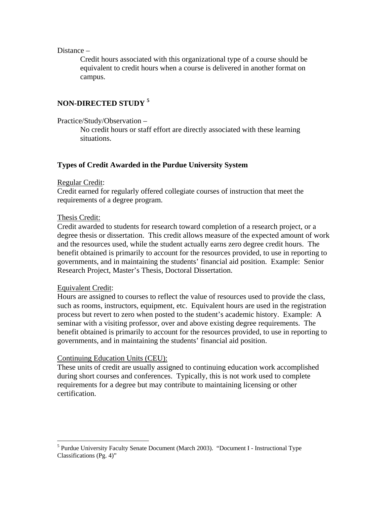Distance –

Credit hours associated with this organizational type of a course should be equivalent to credit hours when a course is delivered in another format on campus.

## **NON-DIRECTED STUDY <sup>5</sup>**

Practice/Study/Observation –

No credit hours or staff effort are directly associated with these learning situations.

### **Types of Credit Awarded in the Purdue University System**

#### Regular Credit:

Credit earned for regularly offered collegiate courses of instruction that meet the requirements of a degree program.

#### Thesis Credit:

Credit awarded to students for research toward completion of a research project, or a degree thesis or dissertation. This credit allows measure of the expected amount of work and the resources used, while the student actually earns zero degree credit hours. The benefit obtained is primarily to account for the resources provided, to use in reporting to governments, and in maintaining the students' financial aid position. Example: Senior Research Project, Master's Thesis, Doctoral Dissertation.

#### Equivalent Credit:

 $\overline{a}$ 

Hours are assigned to courses to reflect the value of resources used to provide the class, such as rooms, instructors, equipment, etc. Equivalent hours are used in the registration process but revert to zero when posted to the student's academic history. Example: A seminar with a visiting professor, over and above existing degree requirements. The benefit obtained is primarily to account for the resources provided, to use in reporting to governments, and in maintaining the students' financial aid position.

#### Continuing Education Units (CEU):

These units of credit are usually assigned to continuing education work accomplished during short courses and conferences. Typically, this is not work used to complete requirements for a degree but may contribute to maintaining licensing or other certification.

<sup>&</sup>lt;sup>5</sup> Purdue University Faculty Senate Document (March 2003). "Document I - Instructional Type Classifications (Pg. 4)"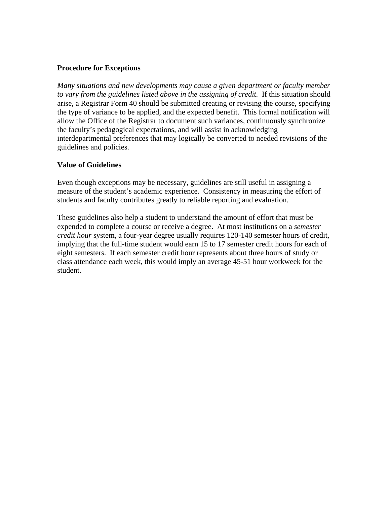#### **Procedure for Exceptions**

*Many situations and new developments may cause a given department or faculty member*  to vary from the guidelines listed above in the assigning of credit. If this situation should arise, a Registrar Form 40 should be submitted creating or revising the course, specifying the type of variance to be applied, and the expected benefit. This formal notification will allow the Office of the Registrar to document such variances, continuously synchronize the faculty's pedagogical expectations, and will assist in acknowledging interdepartmental preferences that may logically be converted to needed revisions of the guidelines and policies.

### **Value of Guidelines**

Even though exceptions may be necessary, guidelines are still useful in assigning a measure of the student's academic experience. Consistency in measuring the effort of students and faculty contributes greatly to reliable reporting and evaluation.

These guidelines also help a student to understand the amount of effort that must be expended to complete a course or receive a degree. At most institutions on a *semester credit hour* system, a four-year degree usually requires 120-140 semester hours of credit, implying that the full-time student would earn 15 to 17 semester credit hours for each of eight semesters. If each semester credit hour represents about three hours of study or class attendance each week, this would imply an average 45-51 hour workweek for the student.